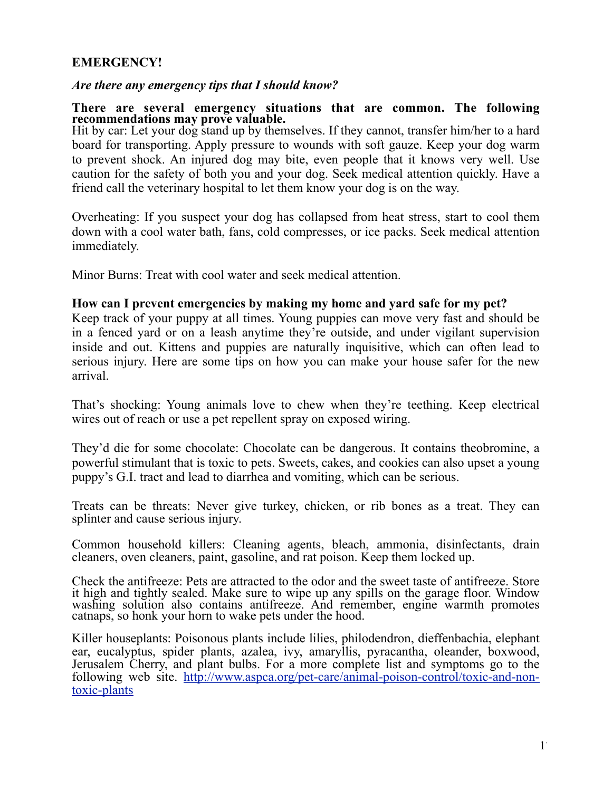## **EMERGENCY!**

## *Are there any emergency tips that I should know?*

## **There are several emergency situations that are common. The following recommendations may prove valuable.**

Hit by car: Let your dog stand up by themselves. If they cannot, transfer him/her to a hard board for transporting. Apply pressure to wounds with soft gauze. Keep your dog warm to prevent shock. An injured dog may bite, even people that it knows very well. Use caution for the safety of both you and your dog. Seek medical attention quickly. Have a friend call the veterinary hospital to let them know your dog is on the way.

Overheating: If you suspect your dog has collapsed from heat stress, start to cool them down with a cool water bath, fans, cold compresses, or ice packs. Seek medical attention immediately.

Minor Burns: Treat with cool water and seek medical attention.

## **How can I prevent emergencies by making my home and yard safe for my pet?**

Keep track of your puppy at all times. Young puppies can move very fast and should be in a fenced yard or on a leash anytime they're outside, and under vigilant supervision inside and out. Kittens and puppies are naturally inquisitive, which can often lead to serious injury. Here are some tips on how you can make your house safer for the new arrival.

That's shocking: Young animals love to chew when they're teething. Keep electrical wires out of reach or use a pet repellent spray on exposed wiring.

They'd die for some chocolate: Chocolate can be dangerous. It contains theobromine, a powerful stimulant that is toxic to pets. Sweets, cakes, and cookies can also upset a young puppy's G.I. tract and lead to diarrhea and vomiting, which can be serious.

Treats can be threats: Never give turkey, chicken, or rib bones as a treat. They can splinter and cause serious injury.

Common household killers: Cleaning agents, bleach, ammonia, disinfectants, drain cleaners, oven cleaners, paint, gasoline, and rat poison. Keep them locked up.

Check the antifreeze: Pets are attracted to the odor and the sweet taste of antifreeze. Store it high and tightly sealed. Make sure to wipe up any spills on the garage floor. Window washing solution also contains antifreeze. And remember, engine warmth promotes catnaps, so honk your horn to wake pets under the hood.

Killer houseplants: Poisonous plants include lilies, philodendron, dieffenbachia, elephant ear, eucalyptus, spider plants, azalea, ivy, amaryllis, pyracantha, oleander, boxwood, Jerusalem Cherry, and plant bulbs. For a more complete list and symptoms go to the following web site. http://www.aspca.org/pet-care/animal-poison-control/toxic-and-nontoxic-plants